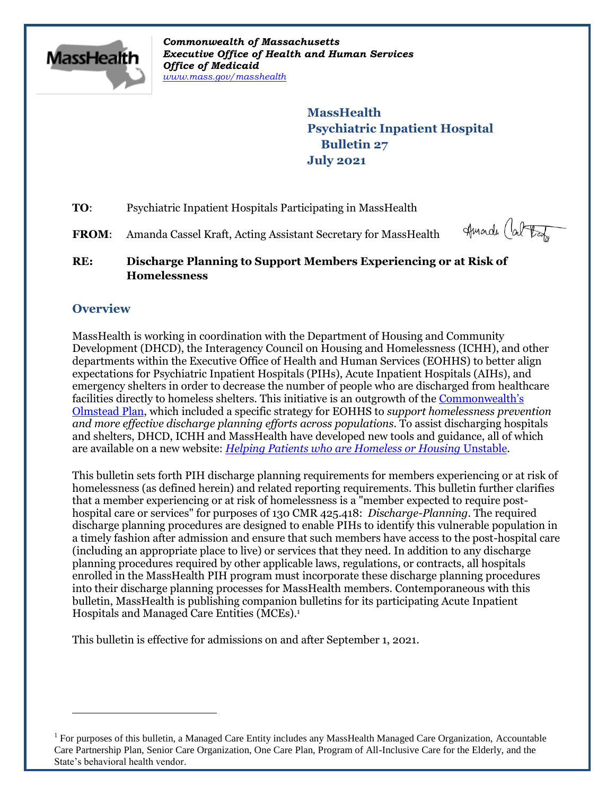

*Commonwealth of Massachusetts Executive Office of Health and Human Services Office of Medicaid [www.mass.gov/masshealth](http://www.mass.gov/masshealth)*

> **MassHealth Psychiatric Inpatient Hospital Bulletin 27 July 2021**

- **TO:** Psychiatric Inpatient Hospitals Participating in MassHealth
- FROM: Amanda Cassel Kraft, Acting Assistant Secretary for MassHealth

Amarch (about

**RE: Discharge Planning to Support Members Experiencing or at Risk of Homelessness**

# **Overview**

 $\overline{a}$ 

MassHealth is working in coordination with the Department of Housing and Community Development (DHCD), the Interagency Council on Housing and Homelessness (ICHH), and other departments within the Executive Office of Health and Human Services (EOHHS) to better align expectations for Psychiatric Inpatient Hospitals (PIHs), Acute Inpatient Hospitals (AIHs), and emergency shelters in order to decrease the number of people who are discharged from healthcare facilities directly to homeless shelters. This initiative is an outgrowth of the [Commonwealth's](https://www.mass.gov/orgs/commonwealth-of-massachusetts-olmstead-plan-and-update)  [Olmstead Plan,](https://www.mass.gov/orgs/commonwealth-of-massachusetts-olmstead-plan-and-update) which included a specific strategy for EOHHS to *support homelessness prevention and more effective discharge planning efforts across populations*. To assist discharging hospitals and shelters, DHCD, ICHH and MassHealth have developed new tools and guidance, all of which are available on a new website: *[Helping Patients who are Homeless or Housing](https://www.mass.gov/info-details/helping-patients-who-are-homeless-or-housing-unstable)* Unstable.

This bulletin sets forth PIH discharge planning requirements for members experiencing or at risk of homelessness (as defined herein) and related reporting requirements. This bulletin further clarifies that a member experiencing or at risk of homelessness is a "member expected to require posthospital care or services" for purposes of 130 CMR 425.418: *Discharge-Planning*. The required discharge planning procedures are designed to enable PIHs to identify this vulnerable population in a timely fashion after admission and ensure that such members have access to the post-hospital care (including an appropriate place to live) or services that they need. In addition to any discharge planning procedures required by other applicable laws, regulations, or contracts, all hospitals enrolled in the MassHealth PIH program must incorporate these discharge planning procedures into their discharge planning processes for MassHealth members. Contemporaneous with this bulletin, MassHealth is publishing companion bulletins for its participating Acute Inpatient Hospitals and Managed Care Entities (MCEs). 1

This bulletin is effective for admissions on and after September 1, 2021.

<sup>&</sup>lt;sup>1</sup> For purposes of this bulletin, a Managed Care Entity includes any MassHealth Managed Care Organization, Accountable Care Partnership Plan, Senior Care Organization, One Care Plan, Program of All-Inclusive Care for the Elderly, and the State's behavioral health vendor.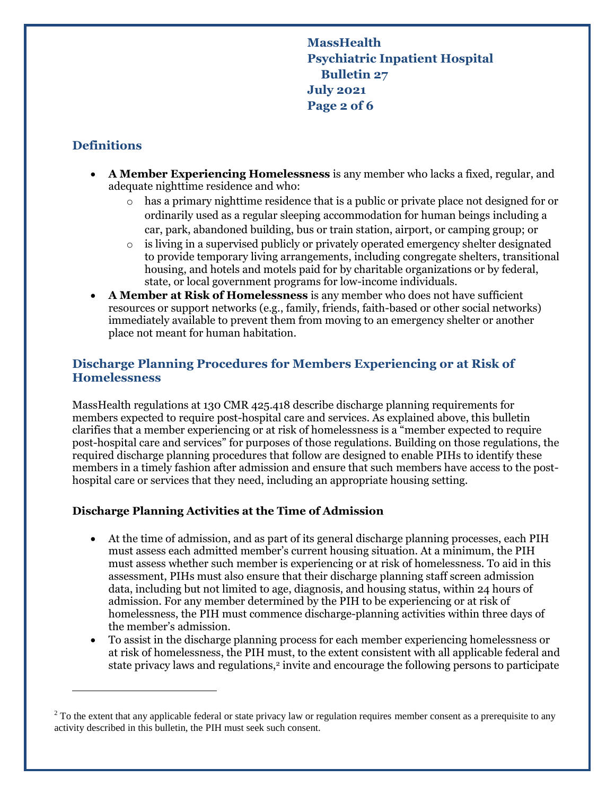**MassHealth Psychiatric Inpatient Hospital Bulletin 27 July 2021 Page 2 of 6**

## **Definitions**

 $\overline{a}$ 

- **A Member Experiencing Homelessness** is any member who lacks a fixed, regular, and adequate nighttime residence and who:
	- $\circ$  has a primary nighttime residence that is a public or private place not designed for or ordinarily used as a regular sleeping accommodation for human beings including a car, park, abandoned building, bus or train station, airport, or camping group; or
	- o is living in a supervised publicly or privately operated emergency shelter designated to provide temporary living arrangements, including congregate shelters, transitional housing, and hotels and motels paid for by charitable organizations or by federal, state, or local government programs for low-income individuals.
- **A Member at Risk of Homelessness** is any member who does not have sufficient resources or support networks (e.g., family, friends, faith-based or other social networks) immediately available to prevent them from moving to an emergency shelter or another place not meant for human habitation.

## **Discharge Planning Procedures for Members Experiencing or at Risk of Homelessness**

MassHealth regulations at 130 CMR 425.418 describe discharge planning requirements for members expected to require post-hospital care and services. As explained above, this bulletin clarifies that a member experiencing or at risk of homelessness is a "member expected to require post-hospital care and services" for purposes of those regulations. Building on those regulations, the required discharge planning procedures that follow are designed to enable PIHs to identify these members in a timely fashion after admission and ensure that such members have access to the posthospital care or services that they need, including an appropriate housing setting.

### **Discharge Planning Activities at the Time of Admission**

- At the time of admission, and as part of its general discharge planning processes, each PIH must assess each admitted member's current housing situation. At a minimum, the PIH must assess whether such member is experiencing or at risk of homelessness. To aid in this assessment, PIHs must also ensure that their discharge planning staff screen admission data, including but not limited to age, diagnosis, and housing status, within 24 hours of admission. For any member determined by the PIH to be experiencing or at risk of homelessness, the PIH must commence discharge-planning activities within three days of the member's admission.
- To assist in the discharge planning process for each member experiencing homelessness or at risk of homelessness, the PIH must, to the extent consistent with all applicable federal and state privacy laws and regulations,<sup>2</sup> invite and encourage the following persons to participate

 $2^2$  To the extent that any applicable federal or state privacy law or regulation requires member consent as a prerequisite to any activity described in this bulletin, the PIH must seek such consent.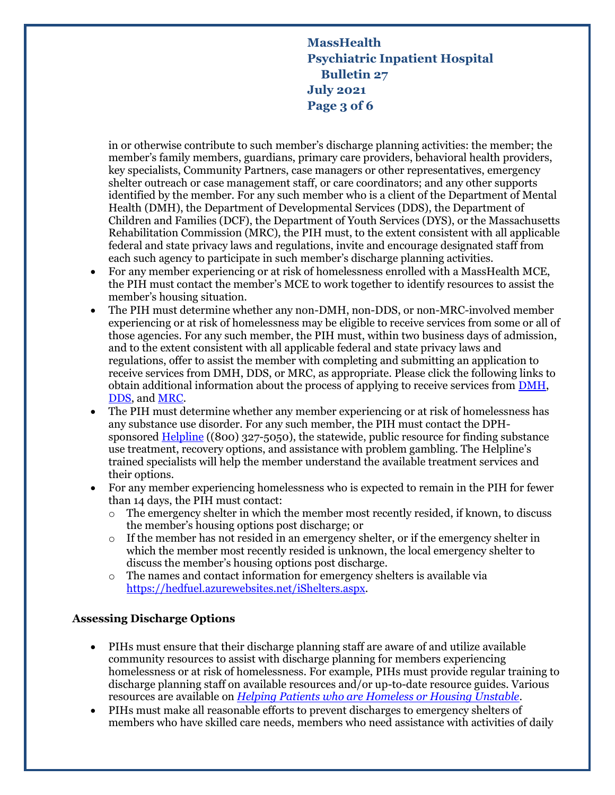**MassHealth Psychiatric Inpatient Hospital Bulletin 27 July 2021 Page 3 of 6**

in or otherwise contribute to such member's discharge planning activities: the member; the member's family members, guardians, primary care providers, behavioral health providers, key specialists, Community Partners, case managers or other representatives, emergency shelter outreach or case management staff, or care coordinators; and any other supports identified by the member. For any such member who is a client of the Department of Mental Health (DMH), the Department of Developmental Services (DDS), the Department of Children and Families (DCF), the Department of Youth Services (DYS), or the Massachusetts Rehabilitation Commission (MRC), the PIH must, to the extent consistent with all applicable federal and state privacy laws and regulations, invite and encourage designated staff from each such agency to participate in such member's discharge planning activities.

- For any member experiencing or at risk of homelessness enrolled with a MassHealth MCE, the PIH must contact the member's MCE to work together to identify resources to assist the member's housing situation.
- The PIH must determine whether any non-DMH, non-DDS, or non-MRC-involved member experiencing or at risk of homelessness may be eligible to receive services from some or all of those agencies. For any such member, the PIH must, within two business days of admission, and to the extent consistent with all applicable federal and state privacy laws and regulations, offer to assist the member with completing and submitting an application to receive services from DMH, DDS, or MRC, as appropriate. Please click the following links to obtain additional information about the process of applying to receive services from [DMH,](https://www.mass.gov/info-details/applications-for-dmh-services#:~:text=Contact%20Info%20-%20Where%20to%20Submit%20Your%20DMH,%20%20NEA.serviceauthapplications@mass.gov%20%201%20more%20rows) [DDS,](https://ddsmass.github.io/eligibility-guide/) and [MRC.](https://www.mass.gov/mrc-community-based-services)
- The PIH must determine whether any member experiencing or at risk of homelessness has any substance use disorder. For any such member, the PIH must contact the DPH-sponsored [Helpline](https://helplinema.org/) ((800) 327-5050), the statewide, public resource for finding substance use treatment, recovery options, and assistance with problem gambling. The Helpline's trained specialists will help the member understand the available treatment services and their options.
- For any member experiencing homelessness who is expected to remain in the PIH for fewer than 14 days, the PIH must contact:
	- $\circ$  The emergency shelter in which the member most recently resided, if known, to discuss the member's housing options post discharge; or
	- $\circ$  If the member has not resided in an emergency shelter, or if the emergency shelter in which the member most recently resided is unknown, the local emergency shelter to discuss the member's housing options post discharge.
	- o The names and contact information for emergency shelters is available via [https://hedfuel.azurewebsites.net/iShelters.aspx.](https://hedfuel.azurewebsites.net/iShelters.aspx)

### **Assessing Discharge Options**

- PIHs must ensure that their discharge planning staff are aware of and utilize available community resources to assist with discharge planning for members experiencing homelessness or at risk of homelessness. For example, PIHs must provide regular training to discharge planning staff on available resources and/or up-to-date resource guides. Various resources are available on *[Helping Patients who are Homeless or Housing Unstable](https://www.mass.gov/info-details/helping-patients-who-are-homeless-or-housing-unstable)*.
- PIHs must make all reasonable efforts to prevent discharges to emergency shelters of members who have skilled care needs, members who need assistance with activities of daily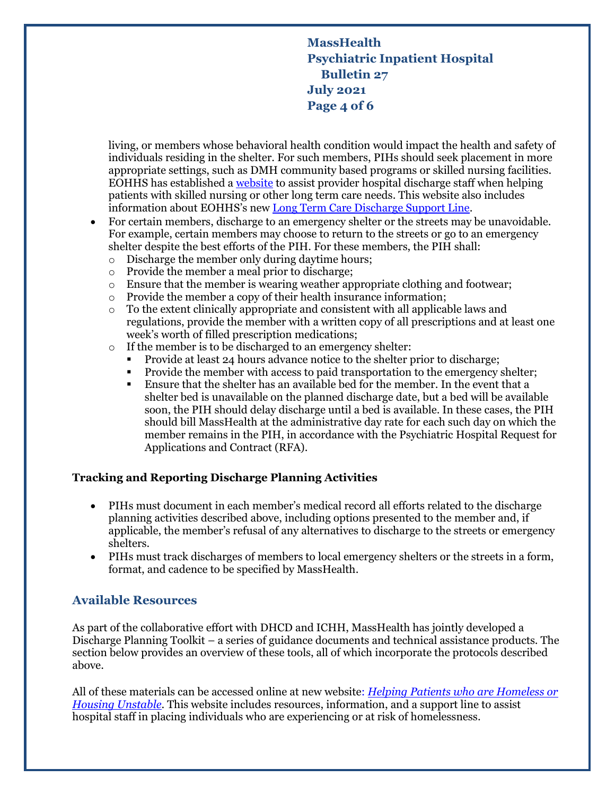# **MassHealth Psychiatric Inpatient Hospital Bulletin 27 July 2021 Page 4 of 6**

living, or members whose behavioral health condition would impact the health and safety of individuals residing in the shelter. For such members, PIHs should seek placement in more appropriate settings, such as DMH community based programs or skilled nursing facilities. EOHHS has established a [website](https://www.mass.gov/info-details/helping-patients-with-skilled-nursing-or-other-long-term-care-needs) to assist provider hospital discharge staff when helping patients with skilled nursing or other long term care needs. This website also includes information about EOHHS's new [Long Term Care Discharge Support Line.](https://www.mass.gov/info-details/helping-patients-with-skilled-nursing-or-other-long-term-care-needs#eohhs-long-term-care-discharge-support-line-)

- For certain members, discharge to an emergency shelter or the streets may be unavoidable. For example, certain members may choose to return to the streets or go to an emergency shelter despite the best efforts of the PIH. For these members, the PIH shall:
	- o Discharge the member only during daytime hours;
	- o Provide the member a meal prior to discharge;
	- $\circ$  Ensure that the member is wearing weather appropriate clothing and footwear;
	- o Provide the member a copy of their health insurance information;
	- o To the extent clinically appropriate and consistent with all applicable laws and regulations, provide the member with a written copy of all prescriptions and at least one week's worth of filled prescription medications;
	- o If the member is to be discharged to an emergency shelter:
		- Provide at least 24 hours advance notice to the shelter prior to discharge;
		- Provide the member with access to paid transportation to the emergency shelter;
		- Ensure that the shelter has an available bed for the member. In the event that a shelter bed is unavailable on the planned discharge date, but a bed will be available soon, the PIH should delay discharge until a bed is available. In these cases, the PIH should bill MassHealth at the administrative day rate for each such day on which the member remains in the PIH, in accordance with the Psychiatric Hospital Request for Applications and Contract (RFA).

### **Tracking and Reporting Discharge Planning Activities**

- PIHs must document in each member's medical record all efforts related to the discharge planning activities described above, including options presented to the member and, if applicable, the member's refusal of any alternatives to discharge to the streets or emergency shelters.
- PIHs must track discharges of members to local emergency shelters or the streets in a form, format, and cadence to be specified by MassHealth.

## **Available Resources**

As part of the collaborative effort with DHCD and ICHH, MassHealth has jointly developed a Discharge Planning Toolkit – a series of guidance documents and technical assistance products. The section below provides an overview of these tools, all of which incorporate the protocols described above.

All of these materials can be accessed online at new website: *[Helping Patients who are Homeless or](https://www.mass.gov/info-details/helping-patients-who-are-homeless-or-housing-unstable)  [Housing Unstable](https://www.mass.gov/info-details/helping-patients-who-are-homeless-or-housing-unstable)*. This website includes resources, information, and a support line to assist hospital staff in placing individuals who are experiencing or at risk of homelessness.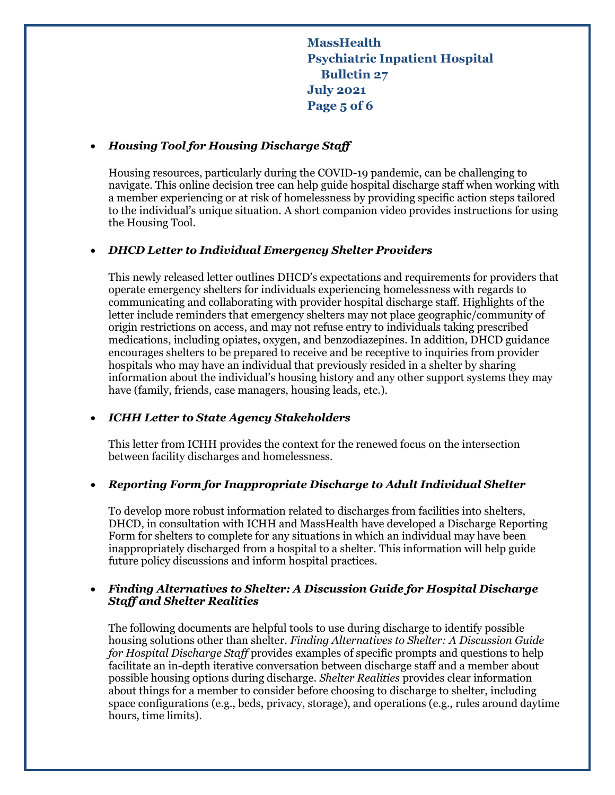**MassHealth Psychiatric Inpatient Hospital Bulletin 27 July 2021 Page 5 of 6**

#### *Housing Tool for Housing Discharge Staff*

Housing resources, particularly during the COVID-19 pandemic, can be challenging to navigate. This online decision tree can help guide hospital discharge staff when working with a member experiencing or at risk of homelessness by providing specific action steps tailored to the individual's unique situation. A short companion video provides instructions for using the Housing Tool.

### *DHCD Letter to Individual Emergency Shelter Providers*

This newly released letter outlines DHCD's expectations and requirements for providers that operate emergency shelters for individuals experiencing homelessness with regards to communicating and collaborating with provider hospital discharge staff. Highlights of the letter include reminders that emergency shelters may not place geographic/community of origin restrictions on access, and may not refuse entry to individuals taking prescribed medications, including opiates, oxygen, and benzodiazepines. In addition, DHCD guidance encourages shelters to be prepared to receive and be receptive to inquiries from provider hospitals who may have an individual that previously resided in a shelter by sharing information about the individual's housing history and any other support systems they may have (family, friends, case managers, housing leads, etc.).

#### *ICHH Letter to State Agency Stakeholders*

This letter from ICHH provides the context for the renewed focus on the intersection between facility discharges and homelessness.

#### *Reporting Form for Inappropriate Discharge to Adult Individual Shelter*

To develop more robust information related to discharges from facilities into shelters, DHCD, in consultation with ICHH and MassHealth have developed a Discharge Reporting Form for shelters to complete for any situations in which an individual may have been inappropriately discharged from a hospital to a shelter. This information will help guide future policy discussions and inform hospital practices.

### *Finding Alternatives to Shelter: A Discussion Guide for Hospital Discharge Staff and Shelter Realities*

The following documents are helpful tools to use during discharge to identify possible housing solutions other than shelter. *Finding Alternatives to Shelter: A Discussion Guide for Hospital Discharge Staff* provides examples of specific prompts and questions to help facilitate an in-depth iterative conversation between discharge staff and a member about possible housing options during discharge. *Shelter Realities* provides clear information about things for a member to consider before choosing to discharge to shelter, including space configurations (e.g., beds, privacy, storage), and operations (e.g., rules around daytime hours, time limits).